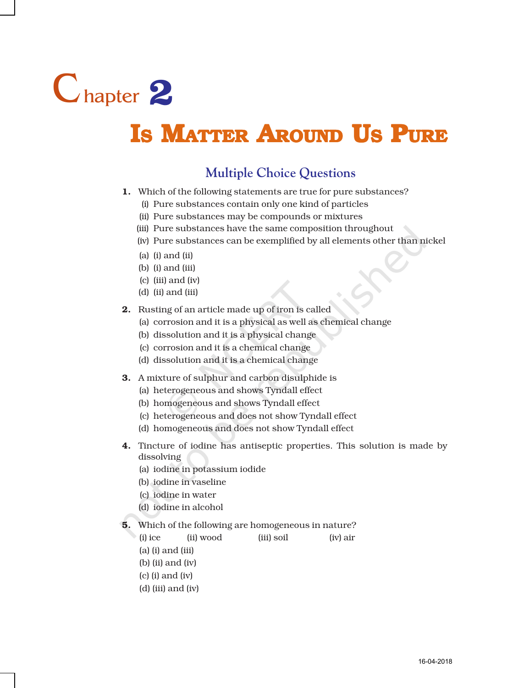

## **IS MATTER AROUND US PURE**

## **Multiple Choice Questions**

- 1. Which of the following statements are true for pure substances?
	- (i) Pure substances contain only one kind of particles
	- (ii) Pure substances may be compounds or mixtures
	- (iii) Pure substances have the same composition throughout
	- (iv) Pure substances can be exemplified by all elements other than nickel
	- (a) (i) and (ii)
	- (b) (i) and (iii)
	- (c) (iii) and (iv)
	- (d) (ii) and (iii)
- 2. Rusting of an article made up of iron is called
	- (a) corrosion and it is a physical as well as chemical change
	- (b) dissolution and it is a physical change
	- (c) corrosion and it is a chemical change
	- (d) dissolution and it is a chemical change
- 3. A mixture of sulphur and carbon disulphide is
	- (a) heterogeneous and shows Tyndall effect
	- (b) homogeneous and shows Tyndall effect
	- (c) heterogeneous and does not show Tyndall effect
	- (d) homogeneous and does not show Tyndall effect
- 4. Tincture of iodine has antiseptic properties. This solution is made by dissolving
	- (a) iodine in potassium iodide
	- (b) iodine in vaseline
	- (c) iodine in water
	- (d) iodine in alcohol
- 5. Which of the following are homogeneous in nature?

(i) ice (ii) wood (iii) soil (iv) air

- (a) (i) and (iii)
- (b) (ii) and (iv)
- (c) (i) and (iv)
- (d) (iii) and (iv)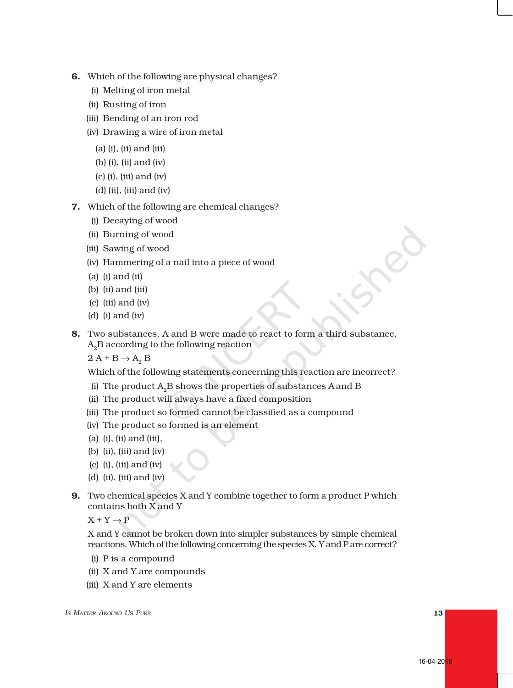- 6. Which of the following are physical changes?
	- (i) Melting of iron metal
	- (ii) Rusting of iron
	- (iii) Bending of an iron rod
	- (iv) Drawing a wire of iron metal
		- (a) (i), (ii) and (iii)
		- (b) (i), (ii) and (iv)
		- (c) (i), (iii) and (iv)
		- (d) (ii), (iii) and (iv)
- 7. Which of the following are chemical changes?
	- (i) Decaying of wood
	- (ii) Burning of wood
	- (iii) Sawing of wood
	- (iv) Hammering of a nail into a piece of wood
	- (a) (i) and (ii)
	- (b) (ii) and (iii)
	- (c) (iii) and (iv)
	- (d) (i) and (iv)
- 8. Two substances, A and B were made to react to form a third substance,  $A_2B$  according to the following reaction

 $2 A + B \rightarrow A_2 B$ 

Which of the following statements concerning this reaction are incorrect?

- (i) The product  $A_2B$  shows the properties of substances A and B
- (ii) The product will always have a fixed composition
- (iii) The product so formed cannot be classified as a compound
- (iv) The product so formed is an element
- (a) (i), (ii) and (iii),
- (b) (ii), (iii) and (iv)
- (c) (i), (iii) and (iv)
- (d) (ii), (iii) and (iv)
- 9. Two chemical species X and Y combine together to form a product P which contains both X and Y

 $X + Y \rightarrow P$ 

X and Y cannot be broken down into simpler substances by simple chemical reactions. Which of the following concerning the species X, Y and P are correct?

- (i) P is a compound
- (ii) X and Y are compounds
- (iii) X and Y are elements

*I*<sup>S</sup> *I*<sup>3</sup> *I*<sup>3</sup> *I*<sup>3</sup> *I*<sup>3</sup> *I*<sup>3</sup> *I*<sup>3</sup> *I*<sup>3</sup> *I*<sup>3</sup> *I*<sup>3</sup> *I*<sup>3</sup> *I*<sup>3</sup> *I*<sup>3</sup> *I*<sup>3</sup> *I*<sup>3</sup> *I*<sup>3</sup> *I*<sup>3</sup> *I*<sup>3</sup> *I*<sup>3</sup> *I*<sup>3</sup> *I*<sup>3</sup> *I*<sup>3</sup> *I*<sup>3</sup> *I*<sup>3</sup> *I*<sup>3</sup> *I*<sup>3</sup> *I*<sup>3</sup> *I*<sup>3</sup> *I*<sup>3</sup> *I*<sup>3</sup> *I*<sup>3</sup> *I*<sup>3</sup>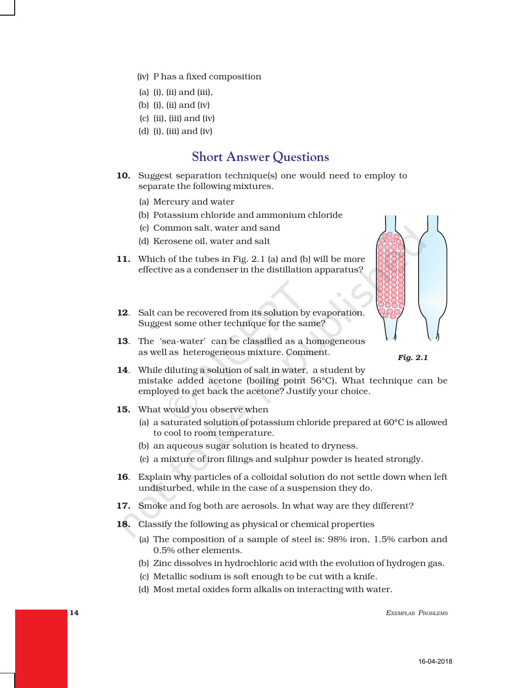- (iv) P has a fixed composition
- (a) (i), (ii) and (iii),
- (b) (i), (ii) and (iv)
- $(c)$  (ii), (iii) and (iv)
- (d) (i), (iii) and (iv)

## **Short Answer Questions**

- 10. Suggest separation technique(s) one would need to employ to separate the following mixtures.
	- (a) Mercury and water
	- (b) Potassium chloride and ammonium chloride
	- (c) Common salt, water and sand
	- (d) Kerosene oil, water and salt
- 11. Which of the tubes in Fig. 2.1 (a) and (b) will be more effective as a condenser in the distillation apparatus?
- 12. Salt can be recovered from its solution by evaporation. Suggest some other technique for the same?
- 13. The 'sea-water' can be classified as a homogeneous as well as heterogeneous mixture. Comment.





- 14. While diluting a solution of salt in water, a student by mistake added acetone (boiling point 56°C). What technique can be employed to get back the acetone? Justify your choice.
- 15. What would you observe when
	- (a) a saturated solution of potassium chloride prepared at 60°C is allowed to cool to room temperature.
	- (b) an aqueous sugar solution is heated to dryness.
	- (c) a mixture of iron filings and sulphur powder is heated strongly.
- 16. Explain why particles of a colloidal solution do not settle down when left undisturbed, while in the case of a suspension they do.
- 17. Smoke and fog both are aerosols. In what way are they different?
- 18. Classify the following as physical or chemical properties
	- (a) The composition of a sample of steel is: 98% iron, 1.5% carbon and 0.5% other elements.
	- (b) Zinc dissolves in hydrochloric acid with the evolution of hydrogen gas.
	- (c) Metallic sodium is soft enough to be cut with a knife.
	- (d) Most metal oxides form alkalis on interacting with water.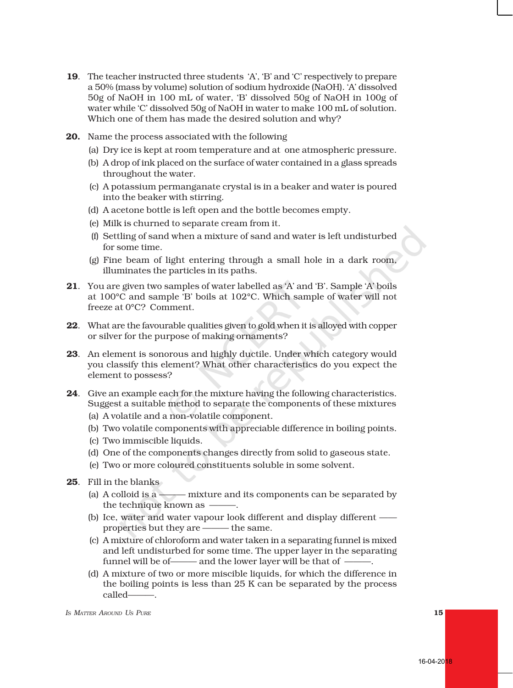- 19. The teacher instructed three students 'A', 'B' and 'C' respectively to prepare a 50% (mass by volume) solution of sodium hydroxide (NaOH). 'A' dissolved 50g of NaOH in 100 mL of water, 'B' dissolved 50g of NaOH in 100g of water while 'C' dissolved 50g of NaOH in water to make 100 mL of solution. Which one of them has made the desired solution and why?
- 20. Name the process associated with the following
	- (a) Dry ice is kept at room temperature and at one atmospheric pressure.
	- (b) A drop of ink placed on the surface of water contained in a glass spreads throughout the water.
	- (c) A potassium permanganate crystal is in a beaker and water is poured into the beaker with stirring.
	- (d) A acetone bottle is left open and the bottle becomes empty.
	- (e) Milk is churned to separate cream from it.
	- (f) Settling of sand when a mixture of sand and water is left undisturbed for some time.
	- (g) Fine beam of light entering through a small hole in a dark room, illuminates the particles in its paths.
- 21. You are given two samples of water labelled as 'A' and 'B'. Sample 'A' boils at 100°C and sample 'B' boils at 102°C. Which sample of water will not freeze at 0°C? Comment.
- 22. What are the favourable qualities given to gold when it is alloyed with copper or silver for the purpose of making ornaments?
- 23. An element is sonorous and highly ductile. Under which category would you classify this element? What other characteristics do you expect the element to possess?
- 24. Give an example each for the mixture having the following characteristics. Suggest a suitable method to separate the components of these mixtures
	- (a) A volatile and a non-volatile component.
	- (b) Two volatile components with appreciable difference in boiling points.
	- (c) Two immiscible liquids.
	- (d) One of the components changes directly from solid to gaseous state.
	- (e) Two or more coloured constituents soluble in some solvent.
- 25. Fill in the blanks
	- (a) A colloid is a ——— mixture and its components can be separated by the technique known as  $-$
	- (b) Ice, water and water vapour look different and display different properties but they are ——— the same.
	- (c) A mixture of chloroform and water taken in a separating funnel is mixed and left undisturbed for some time. The upper layer in the separating funnel will be of-**----** and the lower layer will be that of -
	- (d) A mixture of two or more miscible liquids, for which the difference in the boiling points is less than 25 K can be separated by the process called———.

*IS MATTER AROUND US PURE* 15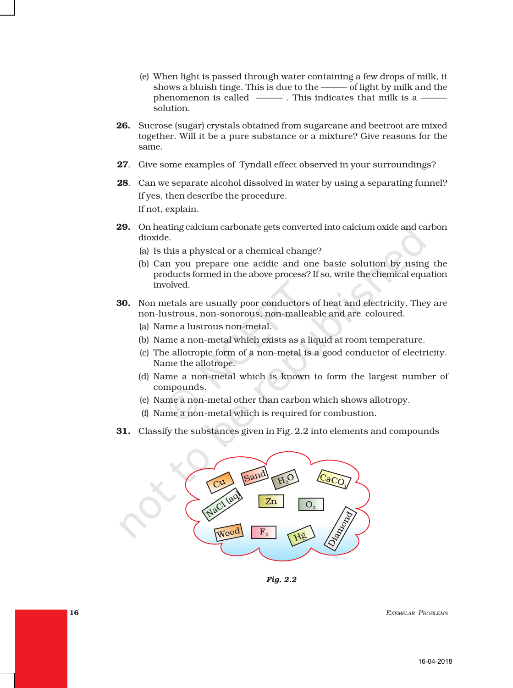- (e) When light is passed through water containing a few drops of milk, it shows a bluish tinge. This is due to the ——— of light by milk and the phenomenon is called ———. This indicates that milk is a —— solution.
- **26.** Sucrose (sugar) crystals obtained from sugarcane and beetroot are mixed together. Will it be a pure substance or a mixture? Give reasons for the same.
- 27. Give some examples of Tyndall effect observed in your surroundings?
- 28. Can we separate alcohol dissolved in water by using a separating funnel? If yes, then describe the procedure. If not, explain.
- 29. On heating calcium carbonate gets converted into calcium oxide and carbon dioxide.
	- (a) Is this a physical or a chemical change?
	- (b) Can you prepare one acidic and one basic solution by using the products formed in the above process? If so, write the chemical equation involved.
- 30. Non metals are usually poor conductors of heat and electricity. They are non-lustrous, non-sonorous, non-malleable and are coloured.
	- (a) Name a lustrous non-metal.
	- (b) Name a non-metal which exists as a liquid at room temperature.
	- (c) The allotropic form of a non-metal is a good conductor of electricity. Name the allotrope.
	- (d) Name a non-metal which is known to form the largest number of compounds.
	- (e) Name a non-metal other than carbon which shows allotropy.
	- (f) Name a non-metal which is required for combustion.
- 31. Classify the substances given in Fig. 2.2 into elements and compounds



*Fig. 2.2*

**16** EXEMPLAR PROBLEMS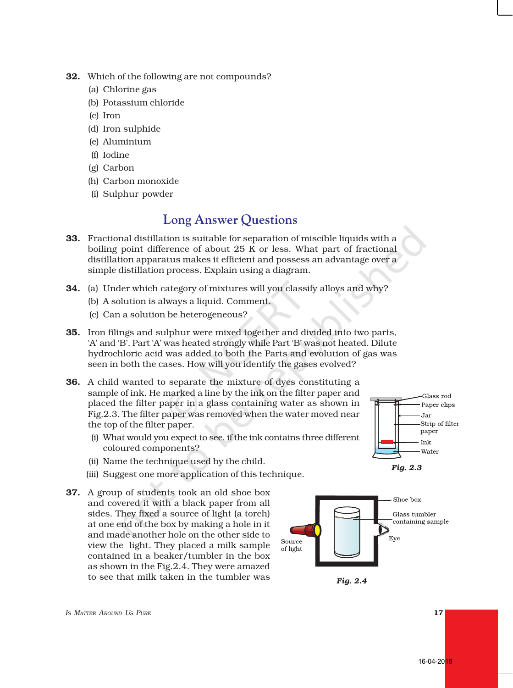- 32. Which of the following are not compounds?
	- (a) Chlorine gas
	- (b) Potassium chloride
	- (c) Iron
	- (d) Iron sulphide
	- (e) Aluminium
	- (f) Iodine
	- (g) Carbon
	- (h) Carbon monoxide
	- (i) Sulphur powder

## **Long Answer Questions**

- 33. Fractional distillation is suitable for separation of miscible liquids with a boiling point difference of about 25 K or less. What part of fractional distillation apparatus makes it efficient and possess an advantage over a simple distillation process. Explain using a diagram.
- 34. (a) Under which category of mixtures will you classify alloys and why?
	- (b) A solution is always a liquid. Comment.
	- (c) Can a solution be heterogeneous?
- 35. Iron filings and sulphur were mixed together and divided into two parts, 'A' and 'B'. Part 'A' was heated strongly while Part 'B' was not heated. Dilute hydrochloric acid was added to both the Parts and evolution of gas was seen in both the cases. How will you identify the gases evolved?
- 36. A child wanted to separate the mixture of dyes constituting a sample of ink. He marked a line by the ink on the filter paper and placed the filter paper in a glass containing water as shown in Fig.2.3. The filter paper was removed when the water moved near the top of the filter paper.
	- (i) What would you expect to see, if the ink contains three different coloured components?
	- (ii) Name the technique used by the child.
	- (iii) Suggest one more application of this technique.
- 37. A group of students took an old shoe box and covered it with a black paper from all sides. They fixed a source of light (a torch) at one end of the box by making a hole in it and made another hole on the other side to view the light. They placed a milk sample contained in a beaker/tumbler in the box as shown in the Fig.2.4. They were amazed to see that milk taken in the tumbler was *Fig. 2.4*